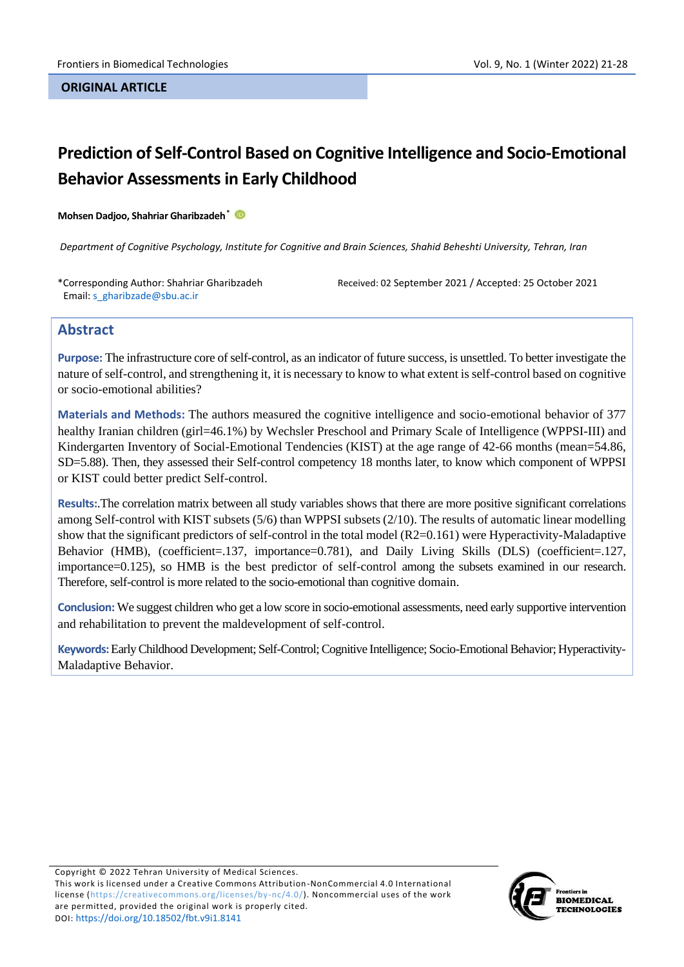# **Prediction of Self-Control Based on Cognitive Intelligence and Socio-Emotional Behavior Assessments in Early Childhood**

#### **Mohsen Dadjoo, Shahriar Gharibzadeh\***

*Department of Cognitive Psychology, Institute for Cognitive and Brain Sciences, Shahid Beheshti University, Tehran, Iran*

\*Corresponding Author: Shahriar Gharibzadeh Email: s\_gharibzade@sbu.ac.ir

Received: 02 September 2021 / Accepted: 25 October 2021

### **Abstract**

**Purpose:** The infrastructure core of self-control, as an indicator of future success, is unsettled. To better investigate the nature of self-control, and strengthening it, it is necessary to know to what extent is self-control based on cognitive or socio-emotional abilities?

**Materials and Methods:** The authors measured the cognitive intelligence and socio-emotional behavior of 377 healthy Iranian children (girl=46.1%) by Wechsler Preschool and Primary Scale of Intelligence (WPPSI-III) and Kindergarten Inventory of Social-Emotional Tendencies (KIST) at the age range of 42-66 months (mean=54.86, SD=5.88). Then, they assessed their Self-control competency 18 months later, to know which component of WPPSI or KIST could better predict Self-control.

**Results:**.The correlation matrix between all study variables shows that there are more positive significant correlations among Self-control with KIST subsets (5/6) than WPPSI subsets (2/10). The results of automatic linear modelling show that the significant predictors of self-control in the total model (R2=0.161) were Hyperactivity-Maladaptive Behavior (HMB), (coefficient=.137, importance=0.781), and Daily Living Skills (DLS) (coefficient=.127, importance=0.125), so HMB is the best predictor of self-control among the subsets examined in our research. Therefore, self-control is more related to the socio-emotional than cognitive domain.

**Conclusion:** We suggest children who get a low score in socio-emotional assessments, need early supportive intervention and rehabilitation to prevent the maldevelopment of self-control.

**Keywords:**Early Childhood Development; Self-Control; Cognitive Intelligence; Socio-Emotional Behavior; Hyperactivity-Maladaptive Behavior.

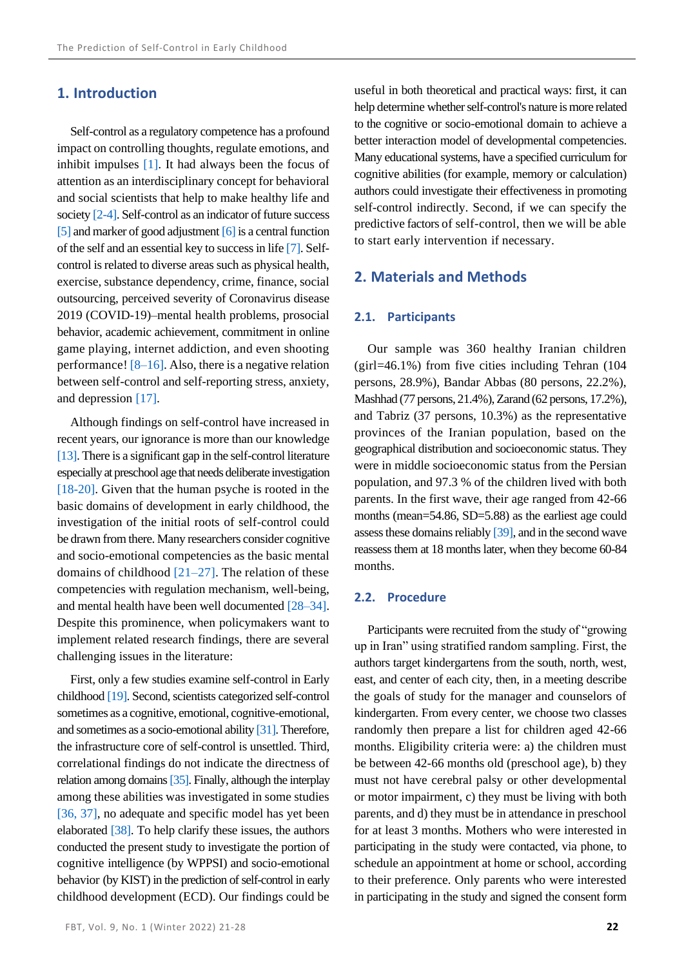# **1. Introduction**

Self-control as a regulatory competence has a profound impact on controlling thoughts, regulate emotions, and inhibit impulses [\[1\].](#page-5-0) It had always been the focus of attention as an interdisciplinary concept for behavioral and social scientists that help to make healthy life and society [\[2-](#page-5-1)[4\].](#page-5-2) Self-control as an indicator of future success  $[5]$  and marker of good adjustment  $[6]$  is a central function of the self and an essential key to success in lif[e \[7\].](#page-5-5) Selfcontrol is related to diverse areas such as physical health, exercise, substance dependency, crime, finance, social outsourcing, perceived severity of Coronavirus disease 2019 (COVID-19)–mental health problems, prosocial behavior, academic achievement, commitment in online game playing, internet addiction, and even shooting performance[! \[8–](#page-5-6)[16\].](#page-5-7) Also, there is a negative relation between self-control and self-reporting stress, anxiety, and depression [\[17\].](#page-6-0)

Although findings on self-control have increased in recent years, our ignorance is more than our knowledge [\[13\].](#page-5-8) There is a significant gap in the self-control literature especially at preschool age that needs deliberate investigation [\[18-](#page-6-1)[20\].](#page-6-2) Given that the human psyche is rooted in the basic domains of development in early childhood, the investigation of the initial roots of self-control could be drawn from there. Many researchers consider cognitive and socio-emotional competencies as the basic mental domains of childhood  $[21–27]$ . The relation of these competencies with regulation mechanism, well-being, and mental health have been well documented [\[28–](#page-6-5)[34\].](#page-6-6) Despite this prominence, when policymakers want to implement related research findings, there are several challenging issues in the literature:

First, only a few studies examine self-control in Early childhoo[d \[19\].](#page-6-7) Second, scientists categorized self-control sometimes as a cognitive, emotional, cognitive-emotional, and sometimes as a socio-emotional abilit[y \[31\].](#page-6-8) Therefore, the infrastructure core of self-control is unsettled. Third, correlational findings do not indicate the directness of relation among domain[s \[35\].](#page-6-9) Finally, although the interplay among these abilities was investigated in some studies [\[36,](#page-6-10) [37\],](#page-6-11) no adequate and specific model has yet been elaborated [\[38\].](#page-6-12) To help clarify these issues, the authors conducted the present study to investigate the portion of cognitive intelligence (by WPPSI) and socio-emotional behavior (by KIST) in the prediction of self-control in early childhood development (ECD). Our findings could be

useful in both theoretical and practical ways: first, it can help determine whether self-control's nature is more related to the cognitive or socio-emotional domain to achieve a better interaction model of developmental competencies. Many educational systems, have a specified curriculum for cognitive abilities (for example, memory or calculation) authors could investigate their effectiveness in promoting self-control indirectly. Second, if we can specify the predictive factors of self-control, then we will be able to start early intervention if necessary.

# **2. Materials and Methods**

#### **2.1. Participants**

Our sample was 360 healthy Iranian children (girl=46.1%) from five cities including Tehran (104 persons, 28.9%), Bandar Abbas (80 persons, 22.2%), Mashhad (77 persons, 21.4%), Zarand (62 persons, 17.2%), and Tabriz (37 persons, 10.3%) as the representative provinces of the Iranian population, based on the geographical distribution and socioeconomic status. They were in middle socioeconomic status from the Persian population, and 97.3 % of the children lived with both parents. In the first wave, their age ranged from 42-66 months (mean=54.86, SD=5.88) as the earliest age could assess these domains reliabl[y \[39\],](#page-6-13) and in the second wave reassess them at 18 months later, when they become 60-84 months.

### **2.2. Procedure**

Participants were recruited from the study of "growing up in Iran" using stratified random sampling. First, the authors target kindergartens from the south, north, west, east, and center of each city, then, in a meeting describe the goals of study for the manager and counselors of kindergarten. From every center, we choose two classes randomly then prepare a list for children aged 42-66 months. Eligibility criteria were: a) the children must be between 42-66 months old (preschool age), b) they must not have cerebral palsy or other developmental or motor impairment, c) they must be living with both parents, and d) they must be in attendance in preschool for at least 3 months. Mothers who were interested in participating in the study were contacted, via phone, to schedule an appointment at home or school, according to their preference. Only parents who were interested in participating in the study and signed the consent form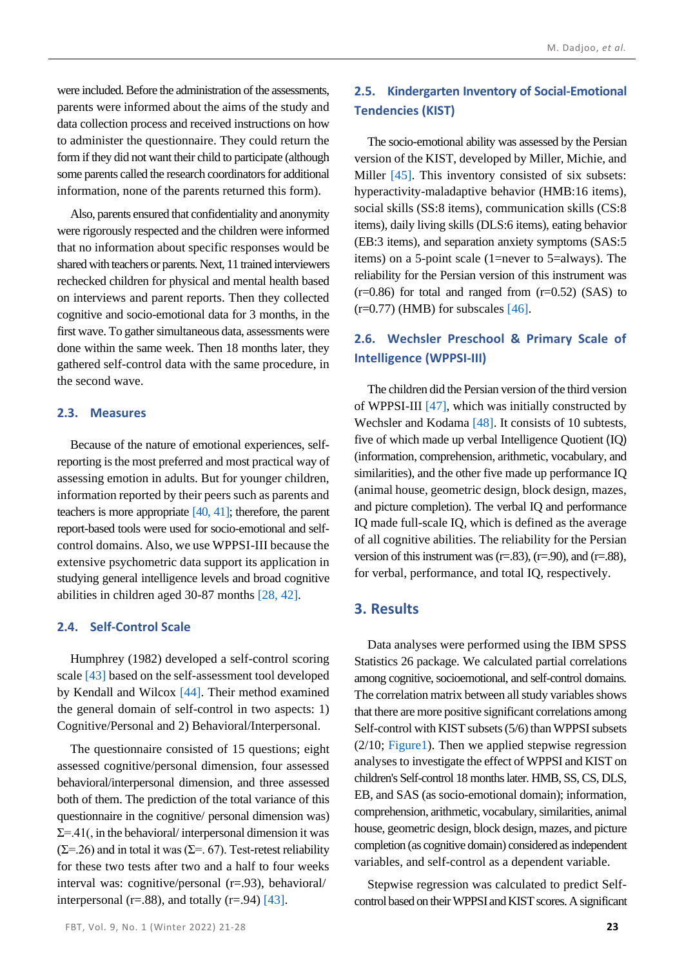were included. Before the administration of the assessments, parents were informed about the aims of the study and data collection process and received instructions on how to administer the questionnaire. They could return the form if they did not want their child to participate (although some parents called the research coordinators for additional information, none of the parents returned this form).

Also, parents ensured that confidentiality and anonymity were rigorously respected and the children were informed that no information about specific responses would be shared with teachers or parents. Next, 11 trained interviewers rechecked children for physical and mental health based on interviews and parent reports. Then they collected cognitive and socio-emotional data for 3 months, in the first wave. To gather simultaneous data, assessments were done within the same week. Then 18 months later, they gathered self-control data with the same procedure, in the second wave.

### **2.3. Measures**

Because of the nature of emotional experiences, selfreporting is the most preferred and most practical way of assessing emotion in adults. But for younger children, information reported by their peers such as parents and teachers is more appropriate [\[40,](#page-6-14) [41\];](#page-6-15) therefore, the parent report-based tools were used for socio-emotional and selfcontrol domains. Also, we use WPPSI-III because the extensive psychometric data support its application in studying general intelligence levels and broad cognitive abilities in children aged 30-87 months [\[28,](#page-6-5) [42\].](#page-6-16)

### **2.4. Self-Control Scale**

Humphrey (1982) developed a self-control scoring scale [\[43\]](#page-6-17) based on the self-assessment tool developed by Kendall and Wilcox [\[44\].](#page-7-0) Their method examined the general domain of self-control in two aspects: 1) Cognitive/Personal and 2) Behavioral/Interpersonal.

The questionnaire consisted of 15 questions; eight assessed cognitive/personal dimension, four assessed behavioral/interpersonal dimension, and three assessed both of them. The prediction of the total variance of this questionnaire in the cognitive/ personal dimension was)  $\Sigma = 0.41$ , in the behavioral/ interpersonal dimension it was  $(\Sigma = 26)$  and in total it was  $(\Sigma = 67)$ . Test-retest reliability for these two tests after two and a half to four weeks interval was: cognitive/personal (r=.93), behavioral/ interpersonal (r=.88), and totally (r=.94) [\[43\].](#page-6-17)

# **2.5. Kindergarten Inventory of Social-Emotional Tendencies (KIST)**

The socio-emotional ability was assessed by the Persian version of the KIST, developed by Miller, Michie, and Miller [\[45\].](#page-7-1) This inventory consisted of six subsets: hyperactivity-maladaptive behavior (HMB:16 items), social skills (SS:8 items), communication skills (CS:8 items), daily living skills (DLS:6 items), eating behavior (EB:3 items), and separation anxiety symptoms (SAS:5 items) on a 5-point scale (1=never to 5=always). The reliability for the Persian version of this instrument was  $(r=0.86)$  for total and ranged from  $(r=0.52)$  (SAS) to  $(r=0.77)$  (HMB) for subscales [\[46\].](#page-7-2)

# **2.6. Wechsler Preschool & Primary Scale of Intelligence (WPPSI-III)**

The children did the Persian version of the third version of WPPSI-III [\[47\],](#page-7-3) which was initially constructed by Wechsler and Kodama [\[48\].](#page-7-4) It consists of 10 subtests, five of which made up verbal Intelligence Quotient (IQ) (information, comprehension, arithmetic, vocabulary, and similarities), and the other five made up performance IQ (animal house, geometric design, block design, mazes, and picture completion). The verbal IQ and performance IQ made full-scale IQ, which is defined as the average of all cognitive abilities. The reliability for the Persian version of this instrument was  $(r=.83)$ ,  $(r=.90)$ , and  $(r=.88)$ , for verbal, performance, and total IQ, respectively.

# **3. Results**

Data analyses were performed using the IBM SPSS Statistics 26 package. We calculated partial correlations among cognitive, socioemotional, and self-control domains. The correlation matrix between all study variables shows that there are more positive significant correlations among Self-control with KIST subsets (5/6) than WPPSI subsets (2/10; [Figure1\)](#page-3-0). Then we applied stepwise regression analyses to investigate the effect of WPPSI and KIST on children's Self-control 18 months later. HMB, SS, CS, DLS, EB, and SAS (as socio-emotional domain); information, comprehension, arithmetic, vocabulary, similarities, animal house, geometric design, block design, mazes, and picture completion (as cognitive domain) considered as independent variables, and self-control as a dependent variable.

Stepwise regression was calculated to predict Selfcontrol based on their WPPSI and KIST scores. A significant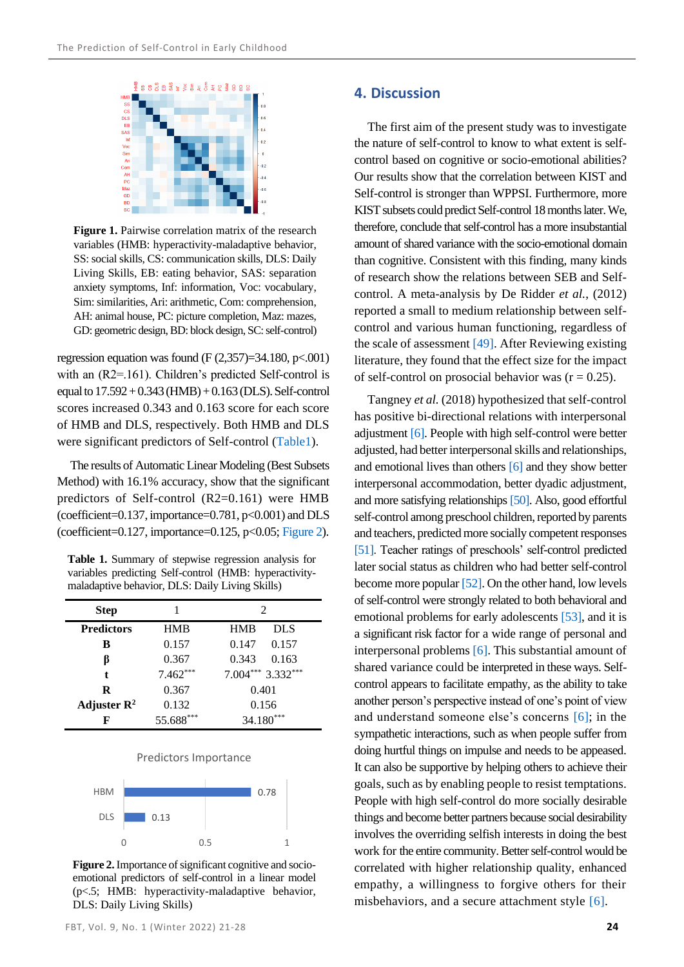

<span id="page-3-0"></span>**Figure 1.** Pairwise correlation matrix of the research variables (HMB: hyperactivity-maladaptive behavior, SS: social skills, CS: communication skills, DLS: Daily Living Skills, EB: eating behavior, SAS: separation anxiety symptoms, Inf: information, Voc: vocabulary, Sim: similarities, Ari: arithmetic, Com: comprehension, AH: animal house, PC: picture completion, Maz: mazes, GD: geometric design, BD: block design, SC: self-control)

regression equation was found (F  $(2,357)=34.180$ , p $< .001$ ) with an (R2=.161). Children's predicted Self-control is equal to 17.592 + 0.343 (HMB) + 0.163 (DLS). Self-control scores increased 0.343 and 0.163 score for each score of HMB and DLS, respectively. Both HMB and DLS were significant predictors of Self-control [\(Table1\)](#page-3-1).

The results of Automatic Linear Modeling (Best Subsets Method) with 16.1% accuracy, show that the significant predictors of Self-control (R2=0.161) were HMB (coefficient=0.137, importance=0.781, p<0.001) and DLS (coefficient=0.127, importance=0.125, p<0.05[; Figure 2\)](#page-3-2).

<span id="page-3-1"></span>**Table 1.** Summary of stepwise regression analysis for variables predicting Self-control (HMB: hyperactivitymaladaptive behavior, DLS: Daily Living Skills)

| <b>Step</b>             |            | 2                  |
|-------------------------|------------|--------------------|
| <b>Predictors</b>       | <b>HMB</b> | DL S<br><b>HMB</b> |
| в                       | 0.157      | 0.157<br>0.147     |
| ß                       | 0.367      | 0.163<br>0.343     |
| t                       | $7.462***$ | $7.004***3.332***$ |
| R                       | 0.367      | 0.401              |
| Adjuster $\mathbb{R}^2$ | 0.132      | 0.156              |
| F                       | 55.688***  | $34.180***$        |

#### Predictors Importance



<span id="page-3-2"></span>**Figure 2.**Importance of significant cognitive and socioemotional predictors of self-control in a linear model (p<.5; HMB: hyperactivity-maladaptive behavior, DLS: Daily Living Skills)

# **4. Discussion**

The first aim of the present study was to investigate the nature of self-control to know to what extent is selfcontrol based on cognitive or socio-emotional abilities? Our results show that the correlation between KIST and Self-control is stronger than WPPSI. Furthermore, more KIST subsets could predict Self-control 18 months later. We, therefore, conclude that self-control has a more insubstantial amount of shared variance with the socio-emotional domain than cognitive. Consistent with this finding, many kinds of research show the relations between SEB and Selfcontrol. A meta-analysis by De Ridder *et al.*, (2012) reported a small to medium relationship between selfcontrol and various human functioning, regardless of the scale of assessment [\[49\].](#page-7-5) After Reviewing existing literature, they found that the effect size for the impact of self-control on prosocial behavior was  $(r = 0.25)$ .

Tangney *et al.* (2018) hypothesized that self-control has positive bi-directional relations with interpersonal adjustment [\[6\].](#page-5-4) People with high self-control were better adjusted, had better interpersonal skills and relationships, and emotional lives than others [\[6\]](#page-5-4) and they show better interpersonal accommodation, better dyadic adjustment, and more satisfying relationships [\[50\].](#page-7-6) Also, good effortful self-control among preschool children, reported by parents and teachers, predicted more socially competent responses [\[51\].](#page-7-7) Teacher ratings of preschools' self-control predicted later social status as children who had better self-control become more popular [\[52\].](#page-7-8) On the other hand, low levels of self-control were strongly related to both behavioral and emotional problems for early adolescents [\[53\],](#page-7-9) and it is a significant risk factor for a wide range of personal and interpersonal problem[s \[6\].](#page-5-4) This substantial amount of shared variance could be interpreted in these ways. Selfcontrol appears to facilitate empathy, as the ability to take another person's perspective instead of one's point of view and understand someone else's concerns [\[6\];](#page-5-4) in the sympathetic interactions, such as when people suffer from doing hurtful things on impulse and needs to be appeased. It can also be supportive by helping others to achieve their goals, such as by enabling people to resist temptations. People with high self-control do more socially desirable things and become better partners because social desirability involves the overriding selfish interests in doing the best work for the entire community. Better self-control would be correlated with higher relationship quality, enhanced empathy, a willingness to forgive others for their misbehaviors, and a secure attachment style [\[6\].](#page-5-4)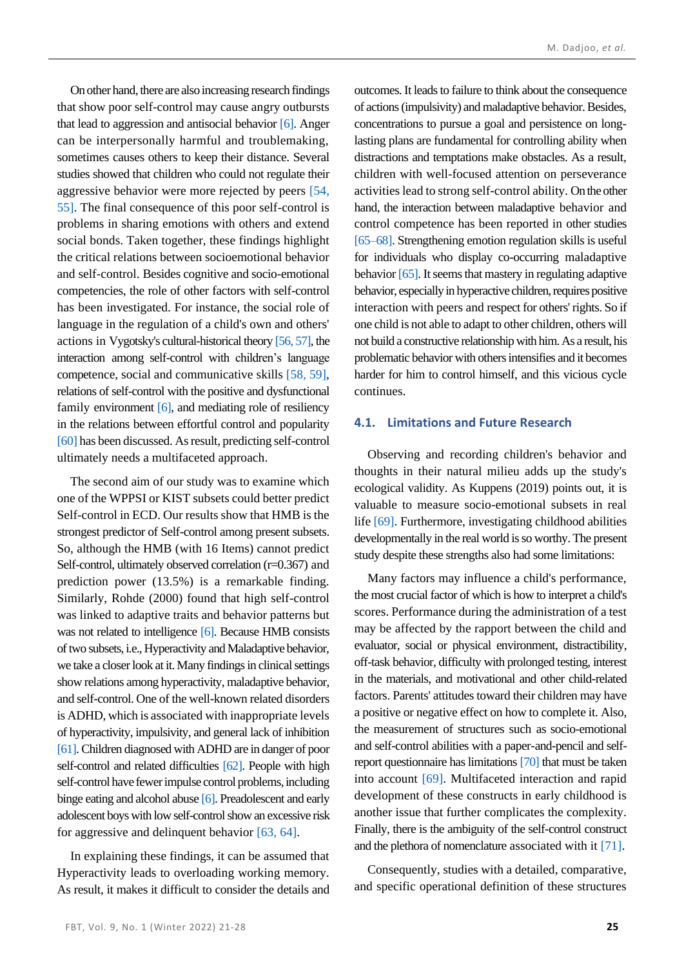On other hand, there are also increasing research findings that show poor self-control may cause angry outbursts that lead to aggression and antisocial behavio[r \[6\].](#page-5-4) Anger can be interpersonally harmful and troublemaking, sometimes causes others to keep their distance. Several studies showed that children who could not regulate their aggressive behavior were more rejected by peers [\[54,](#page-7-10) [55\].](#page-7-11) The final consequence of this poor self-control is problems in sharing emotions with others and extend social bonds. Taken together, these findings highlight the critical relations between socioemotional behavior and self-control. Besides cognitive and socio-emotional competencies, the role of other factors with self-control has been investigated. For instance, the social role of language in the regulation of a child's own and others' actions in Vygotsky's cultural-historical theor[y \[56,](#page-7-12) [57\],](#page-7-13) the interaction among self-control with children's language competence, social and communicative skills [\[58,](#page-7-14) [59\],](#page-7-15) relations of self-control with the positive and dysfunctional family environment [\[6\],](#page-5-4) and mediating role of resiliency in the relations between effortful control and popularity [\[60\]](#page-7-16) has been discussed. As result, predicting self-control ultimately needs a multifaceted approach.

The second aim of our study was to examine which one of the WPPSI or KIST subsets could better predict Self-control in ECD. Our results show that HMB is the strongest predictor of Self-control among present subsets. So, although the HMB (with 16 Items) cannot predict Self-control, ultimately observed correlation (r=0.367) and prediction power (13.5%) is a remarkable finding. Similarly, Rohde (2000) found that high self-control was linked to adaptive traits and behavior patterns but was not related to intelligence [\[6\].](#page-5-4) Because HMB consists of two subsets, i.e., Hyperactivity and Maladaptive behavior, we take a closer look at it. Many findings in clinical settings show relations among hyperactivity, maladaptive behavior, and self-control. One of the well-known related disorders is ADHD, which is associated with inappropriate levels of hyperactivity, impulsivity, and general lack of inhibition [\[61\].](#page-7-17) Children diagnosed with ADHD are in danger of poor self-control and related difficulties [\[62\].](#page-7-18) People with high self-control have fewer impulse control problems, including binge eating and alcohol abus[e \[6\].](#page-5-4) Preadolescent and early adolescent boys with low self-control show an excessive risk for aggressive and delinquent behavior [\[63,](#page-7-19) [64\].](#page-7-20)

In explaining these findings, it can be assumed that Hyperactivity leads to overloading working memory. As result, it makes it difficult to consider the details and outcomes. It leads to failure to think about the consequence of actions (impulsivity) and maladaptive behavior. Besides, concentrations to pursue a goal and persistence on longlasting plans are fundamental for controlling ability when distractions and temptations make obstacles. As a result, children with well-focused attention on perseverance activities lead to strong self-control ability. On the other hand, the interaction between maladaptive behavior and control competence has been reported in other studies [\[65–](#page-7-21)[68\].](#page-7-22) Strengthening emotion regulation skills is useful for individuals who display co-occurring maladaptive behavio[r \[65\].](#page-7-21) It seems that mastery in regulating adaptive behavior, especially in hyperactive children, requires positive interaction with peers and respect for others' rights. So if one child is not able to adapt to other children, others will not build a constructive relationship with him. As a result, his problematic behavior with others intensifies and it becomes harder for him to control himself, and this vicious cycle continues.

#### **4.1. Limitations and Future Research**

Observing and recording children's behavior and thoughts in their natural milieu adds up the study's ecological validity. As Kuppens (2019) points out, it is valuable to measure socio-emotional subsets in real life [\[69\].](#page-7-23) Furthermore, investigating childhood abilities developmentally in the real world is so worthy. The present study despite these strengths also had some limitations:

Many factors may influence a child's performance, the most crucial factor of which is how to interpret a child's scores. Performance during the administration of a test may be affected by the rapport between the child and evaluator, social or physical environment, distractibility, off-task behavior, difficulty with prolonged testing, interest in the materials, and motivational and other child-related factors. Parents' attitudes toward their children may have a positive or negative effect on how to complete it. Also, the measurement of structures such as socio-emotional and self-control abilities with a paper-and-pencil and selfreport questionnaire has limitation[s \[70\]](#page-7-24) that must be taken into account [\[69\].](#page-7-23) Multifaceted interaction and rapid development of these constructs in early childhood is another issue that further complicates the complexity. Finally, there is the ambiguity of the self-control construct and the plethora of nomenclature associated with it [\[71\].](#page-7-25)

Consequently, studies with a detailed, comparative, and specific operational definition of these structures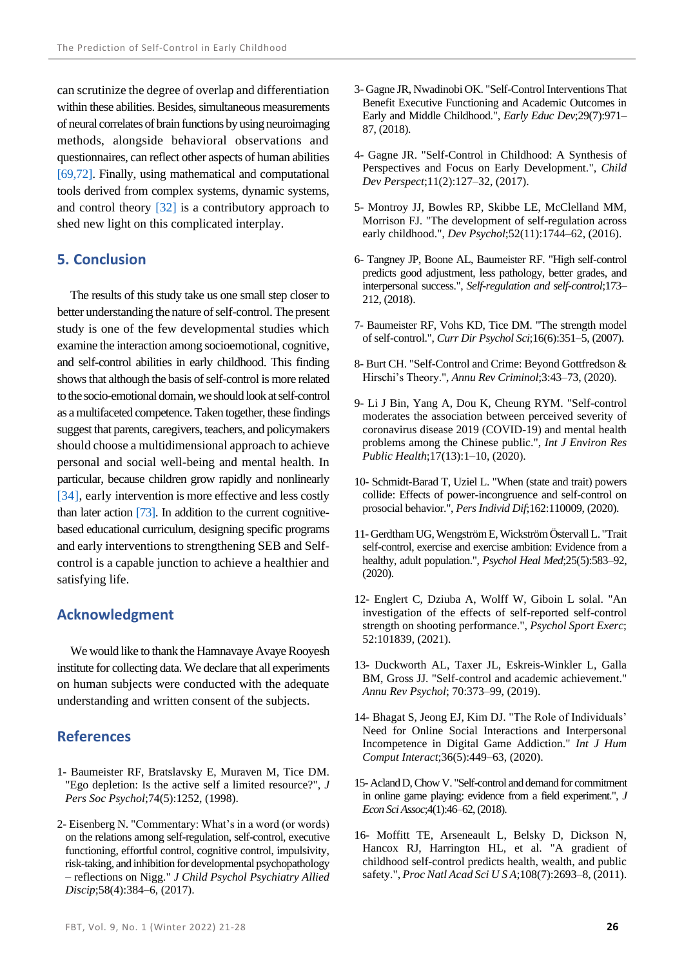can scrutinize the degree of overlap and differentiation within these abilities. Besides, simultaneous measurements of neural correlates of brain functions by using neuroimaging methods, alongside behavioral observations and questionnaires, can reflect other aspects of human abilities [\[69,](#page-7-23)[72\].](#page-7-26) Finally, using mathematical and computational tools derived from complex systems, dynamic systems, and control theory [\[32\]](#page-6-18) is a contributory approach to shed new light on this complicated interplay.

# **5. Conclusion**

The results of this study take us one small step closer to better understanding the nature of self-control. The present study is one of the few developmental studies which examine the interaction among socioemotional, cognitive, and self-control abilities in early childhood. This finding shows that although the basis of self-control is more related to the socio-emotional domain, we should look at self-control as a multifaceted competence.Taken together, these findings suggest that parents, caregivers, teachers, and policymakers should choose a multidimensional approach to achieve personal and social well-being and mental health. In particular, because children grow rapidly and nonlinearly [\[34\],](#page-6-6) early intervention is more effective and less costly than later action [\[73\].](#page-7-27) In addition to the current cognitivebased educational curriculum, designing specific programs and early interventions to strengthening SEB and Selfcontrol is a capable junction to achieve a healthier and satisfying life.

### **Acknowledgment**

We would like to thank the Hamnavaye Avaye Rooyesh institute for collecting data. We declare that all experiments on human subjects were conducted with the adequate understanding and written consent of the subjects.

# **References**

- <span id="page-5-0"></span>1- Baumeister RF, Bratslavsky E, Muraven M, Tice DM. "Ego depletion: Is the active self a limited resource?", *J Pers Soc Psychol*;74(5):1252, (1998).
- <span id="page-5-1"></span>2- Eisenberg N. "Commentary: What's in a word (or words) on the relations among self-regulation, self-control, executive functioning, effortful control, cognitive control, impulsivity, risk-taking, and inhibition for developmental psychopathology – reflections on Nigg." *J Child Psychol Psychiatry Allied Discip*;58(4):384–6, (2017).
- 3- Gagne JR, Nwadinobi OK. "Self-Control Interventions That Benefit Executive Functioning and Academic Outcomes in Early and Middle Childhood.", *Early Educ Dev*;29(7):971– 87, (2018).
- <span id="page-5-2"></span>4- Gagne JR. "Self-Control in Childhood: A Synthesis of Perspectives and Focus on Early Development.", *Child Dev Perspect*;11(2):127–32, (2017).
- <span id="page-5-3"></span>5- Montroy JJ, Bowles RP, Skibbe LE, McClelland MM, Morrison FJ. "The development of self-regulation across early childhood.", *Dev Psychol*;52(11):1744–62, (2016).
- <span id="page-5-4"></span>6- Tangney JP, Boone AL, Baumeister RF. "High self-control predicts good adjustment, less pathology, better grades, and interpersonal success.", *Self-regulation and self-control*;173– 212, (2018).
- <span id="page-5-5"></span>7- Baumeister RF, Vohs KD, Tice DM. "The strength model of self-control.", *Curr Dir Psychol Sci*;16(6):351–5, (2007).
- <span id="page-5-6"></span>8- Burt CH. "Self-Control and Crime: Beyond Gottfredson & Hirschi's Theory.", *Annu Rev Criminol*;3:43–73, (2020).
- 9- Li J Bin, Yang A, Dou K, Cheung RYM. "Self-control moderates the association between perceived severity of coronavirus disease 2019 (COVID-19) and mental health problems among the Chinese public.", *Int J Environ Res Public Health*;17(13):1–10, (2020).
- 10- Schmidt-Barad T, Uziel L. "When (state and trait) powers collide: Effects of power-incongruence and self-control on prosocial behavior.", *Pers Individ Dif*;162:110009, (2020).
- 11-Gerdtham UG, Wengström E, Wickström Östervall L. "Trait self-control, exercise and exercise ambition: Evidence from a healthy, adult population.", *Psychol Heal Med*;25(5):583–92, (2020).
- 12- Englert C, Dziuba A, Wolff W, Giboin L solal. "An investigation of the effects of self-reported self-control strength on shooting performance.", *Psychol Sport Exerc*; 52:101839, (2021).
- <span id="page-5-8"></span>13- Duckworth AL, Taxer JL, Eskreis-Winkler L, Galla BM, Gross JJ. "Self-control and academic achievement." *Annu Rev Psychol*; 70:373–99, (2019).
- 14- Bhagat S, Jeong EJ, Kim DJ. "The Role of Individuals' Need for Online Social Interactions and Interpersonal Incompetence in Digital Game Addiction." *Int J Hum Comput Interact*;36(5):449–63, (2020).
- 15- Acland D, Chow V. "Self-control and demand for commitment in online game playing: evidence from a field experiment.", *J Econ Sci Assoc*;4(1):46–62, (2018).
- <span id="page-5-7"></span>16- Moffitt TE, Arseneault L, Belsky D, Dickson N, Hancox RJ, Harrington HL, et al. "A gradient of childhood self-control predicts health, wealth, and public safety.", *Proc Natl Acad Sci U S A*;108(7):2693–8, (2011).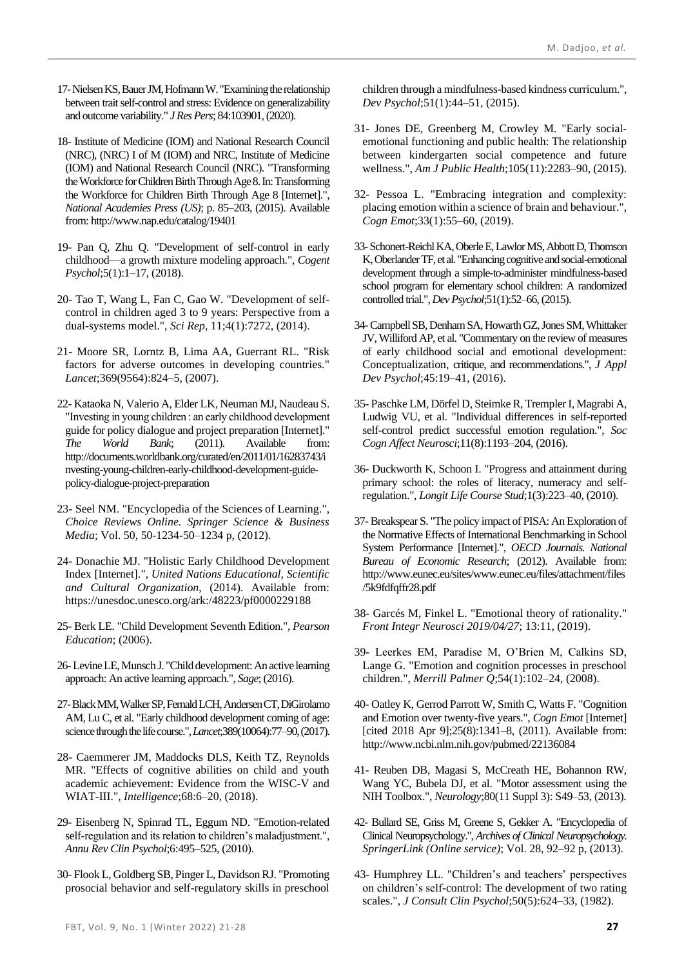- <span id="page-6-0"></span>17-Nielsen KS, Bauer JM, Hofmann W. "Examining the relationship between trait self-control and stress: Evidence on generalizability and outcome variability." *J Res Pers*; 84:103901, (2020).
- <span id="page-6-1"></span>18- Institute of Medicine (IOM) and National Research Council (NRC), (NRC) I of M (IOM) and NRC, Institute of Medicine (IOM) and National Research Council (NRC). "Transforming the Workforce for Children Birth Through Age 8. In: Transforming the Workforce for Children Birth Through Age 8 [Internet].", *National Academies Press (US)*; p. 85–203, (2015). Available from: http://www.nap.edu/catalog/19401
- <span id="page-6-7"></span>19- Pan Q, Zhu Q. "Development of self-control in early childhood—a growth mixture modeling approach.", *Cogent Psychol*;5(1):1–17, (2018).
- <span id="page-6-2"></span>20- Tao T, Wang L, Fan C, Gao W. "Development of selfcontrol in children aged 3 to 9 years: Perspective from a dual-systems model.", *Sci Rep*, 11;4(1):7272, (2014).
- <span id="page-6-3"></span>21- Moore SR, Lorntz B, Lima AA, Guerrant RL. "Risk factors for adverse outcomes in developing countries." *Lancet*;369(9564):824–5, (2007).
- 22- Kataoka N, Valerio A, Elder LK, Neuman MJ, Naudeau S. "Investing in young children : an early childhood development guide for policy dialogue and project preparation [Internet]." *The World Bank*; (2011). Available from: http://documents.worldbank.org/curated/en/2011/01/16283743/i nvesting-young-children-early-childhood-development-guidepolicy-dialogue-project-preparation
- 23- Seel NM. "Encyclopedia of the Sciences of Learning.", *Choice Reviews Online. Springer Science & Business Media*; Vol. 50, 50-1234-50–1234 p, (2012).
- 24- Donachie MJ. "Holistic Early Childhood Development Index [Internet].", *United Nations Educational, Scientific and Cultural Organization*, (2014). Available from: https://unesdoc.unesco.org/ark:/48223/pf0000229188
- 25- Berk LE. "Child Development Seventh Edition.", *Pearson Education*; (2006).
- 26-Levine LE, Munsch J. "Child development: An active learning approach: An active learning approach.", *Sage*; (2016).
- <span id="page-6-4"></span>27-Black MM, Walker SP, Fernald LCH, Andersen CT, DiGirolamo AM, Lu C, et al. "Early childhood development coming of age: science through the life course.",*Lancet*;389(10064):77–90, (2017).
- <span id="page-6-5"></span>28- Caemmerer JM, Maddocks DLS, Keith TZ, Reynolds MR. "Effects of cognitive abilities on child and youth academic achievement: Evidence from the WISC-V and WIAT-III.", *Intelligence*;68:6–20, (2018).
- 29- Eisenberg N, Spinrad TL, Eggum ND. "Emotion-related self-regulation and its relation to children's maladjustment.", *Annu Rev Clin Psychol*;6:495–525, (2010).
- 30- Flook L, Goldberg SB, Pinger L, Davidson RJ. "Promoting prosocial behavior and self-regulatory skills in preschool

children through a mindfulness-based kindness curriculum.", *Dev Psychol*;51(1):44–51, (2015).

- <span id="page-6-8"></span>31- Jones DE, Greenberg M, Crowley M. "Early socialemotional functioning and public health: The relationship between kindergarten social competence and future wellness.", *Am J Public Health*;105(11):2283–90, (2015).
- <span id="page-6-18"></span>32- Pessoa L. "Embracing integration and complexity: placing emotion within a science of brain and behaviour.", *Cogn Emot*;33(1):55–60, (2019).
- 33-Schonert-Reichl KA, Oberle E, Lawlor MS, Abbott D, Thomson K, Oberlander TF, et al. "Enhancing cognitive and social-emotional development through a simple-to-administer mindfulness-based school program for elementary school children: A randomized controlled trial.", *Dev Psychol*;51(1):52–66, (2015).
- <span id="page-6-6"></span>34-Campbell SB, Denham SA, Howarth GZ, Jones SM, Whittaker JV, Williford AP, et al. "Commentary on the review of measures of early childhood social and emotional development: Conceptualization, critique, and recommendations.", *J Appl Dev Psychol*;45:19–41, (2016).
- <span id="page-6-9"></span>35- Paschke LM, Dörfel D, Steimke R, Trempler I, Magrabi A, Ludwig VU, et al. "Individual differences in self-reported self-control predict successful emotion regulation.", *Soc Cogn Affect Neurosci*;11(8):1193–204, (2016).
- <span id="page-6-10"></span>36- Duckworth K, Schoon I. "Progress and attainment during primary school: the roles of literacy, numeracy and selfregulation.", *Longit Life Course Stud*;1(3):223–40, (2010).
- <span id="page-6-11"></span>37-Breakspear S. "The policy impact of PISA: An Exploration of the Normative Effects of International Benchmarking in School System Performance [Internet].", *OECD Journals. National Bureau of Economic Research*; (2012). Available from: http://www.eunec.eu/sites/www.eunec.eu/files/attachment/files /5k9fdfqffr28.pdf
- <span id="page-6-12"></span>38- Garcés M, Finkel L. "Emotional theory of rationality." *Front Integr Neurosci 2019/04/27*; 13:11, (2019).
- <span id="page-6-13"></span>39- Leerkes EM, Paradise M, O'Brien M, Calkins SD, Lange G. "Emotion and cognition processes in preschool children.", *Merrill Palmer Q*;54(1):102–24, (2008).
- <span id="page-6-14"></span>40- Oatley K, Gerrod Parrott W, Smith C, Watts F. "Cognition and Emotion over twenty-five years.", *Cogn Emot* [Internet] [cited 2018 Apr 9];25(8):1341-8, (2011). Available from: http://www.ncbi.nlm.nih.gov/pubmed/22136084
- <span id="page-6-15"></span>41- Reuben DB, Magasi S, McCreath HE, Bohannon RW, Wang YC, Bubela DJ, et al. "Motor assessment using the NIH Toolbox.", *Neurology*;80(11 Suppl 3): S49–53, (2013).
- <span id="page-6-16"></span>42- Bullard SE, Griss M, Greene S, Gekker A. "Encyclopedia of Clinical Neuropsychology.", *Archives of Clinical Neuropsychology. SpringerLink (Online service)*; Vol. 28, 92–92 p, (2013).
- <span id="page-6-17"></span>43- Humphrey LL. "Children's and teachers' perspectives on children's self-control: The development of two rating scales.", *J Consult Clin Psychol*;50(5):624–33, (1982).